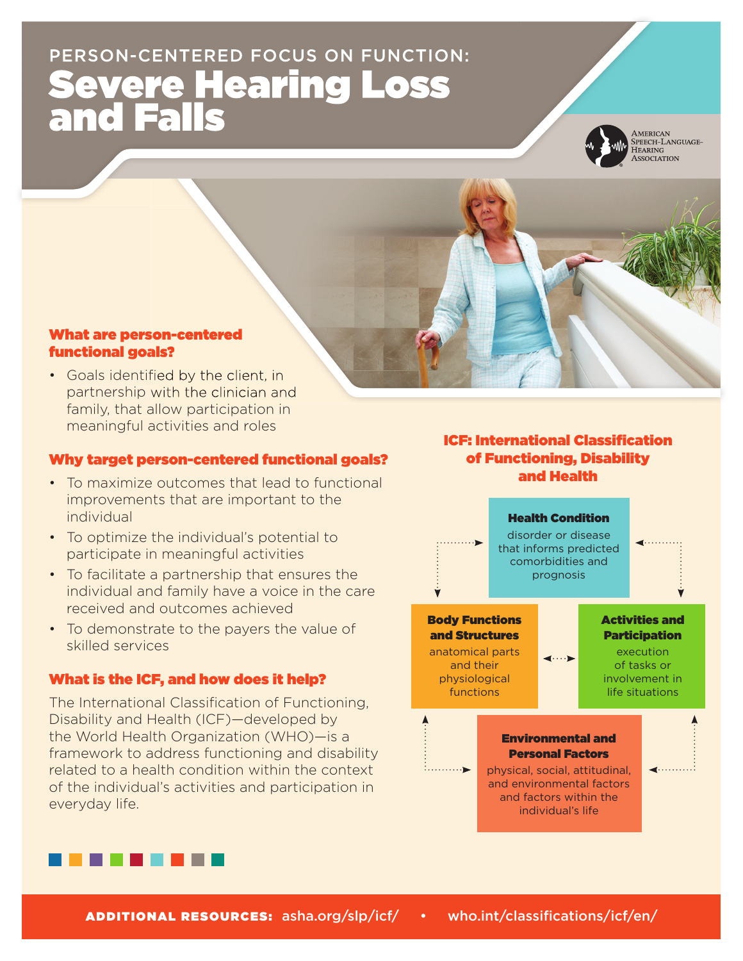# PERSON-CENTERED FOCUS ON FUNCTION: Severe Hearing Loss and Falls



AMERICAN<br>SPEECH-LANGUAGE-HEARING<br>ASSOCIATION



#### What are person-centered functional goals?

• Goals identified by the client, in partnership with the clinician and family, that allow participation in meaningful activities and roles

#### Why target person-centered functional goals?

- To maximize outcomes that lead to functional improvements that are important to the individual
- To optimize the individual's potential to participate in meaningful activities
- To facilitate a partnership that ensures the individual and family have a voice in the care received and outcomes achieved
- To demonstrate to the payers the value of skilled services

#### What is the ICF, and how does it help?

The International Classification of Functioning, Disability and Health (ICF)—developed by the World Health Organization (WHO)—is a framework to address functioning and disability related to a health condition within the context of the individual's activities and participation in everyday life.

## **ICF: International Classification** of Functioning, Disability and Health